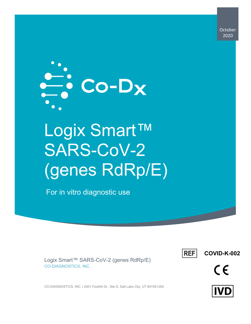**October** 2020



# Logix Smart™ SARS-CoV-2 (genes RdRp/E)

For in vitro diagnostic use



**COVID-K-002**



Logix Smart™ SARS-CoV-2 (genes RdRp/E) CO-DIAGNOSTICS, INC.

CO-DIAGNOSTICS, INC. | 2401 Foothill Dr., Ste D, Salt Lake City, UT 84109 USA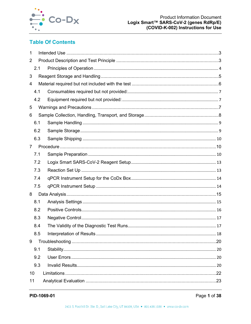

## **Table Of Contents**

| 1              |  |  |
|----------------|--|--|
| $\overline{2}$ |  |  |
| 2.1            |  |  |
| 3              |  |  |
| 4              |  |  |
| 4.1            |  |  |
| 4.2            |  |  |
| 5              |  |  |
| 6              |  |  |
| 6.1            |  |  |
| 6.2            |  |  |
| 6.3            |  |  |
| $\overline{7}$ |  |  |
| 7.1            |  |  |
| 7.2            |  |  |
| 7.3            |  |  |
| 7.4            |  |  |
| 7.5            |  |  |
| 8              |  |  |
| 8.1            |  |  |
| 8.2            |  |  |
| 8.3            |  |  |
| 8.4            |  |  |
| 8.5            |  |  |
| 9              |  |  |
| 9.1            |  |  |
| 9.2            |  |  |
| 9.3            |  |  |
| 10             |  |  |
| 11             |  |  |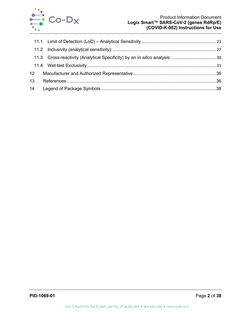

| 12 <sup>1</sup> |  |
|-----------------|--|
| 13              |  |
|                 |  |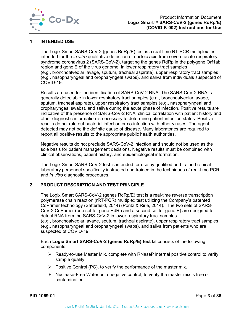

## <span id="page-3-0"></span>**1 INTENDED USE**

The Logix Smart SARS-CoV-2 (genes RdRp/E) test is a real-time RT-PCR multiplex test intended for the *in vitro* qualitative detection of nucleic acid from severe acute respiratory syndrome coronavirus 2 (SARS-CoV-2), targeting the genes RdRp in the polygene Orf1ab region and gene E of the virus genome, in lower respiratory tract samples (e.g., bronchoalveolar lavage, sputum, tracheal aspirate), upper respiratory tract samples (e.g., nasopharyngeal and oropharyngeal swabs), and saliva from individuals suspected of COVID-19.

Results are used for the identification of SARS-CoV-2 RNA. The SARS-CoV-2 RNA is generally detectable in lower respiratory tract samples (e.g., bronchoalveolar lavage, sputum, tracheal aspirate), upper respiratory tract samples (e.g., nasopharyngeal and oropharyngeal swabs), and saliva during the acute phase of infection. Positive results are indicative of the presence of SARS-CoV-2 RNA; clinical correlation with patient history and other diagnostic information is necessary to determine patient infection status. Positive results do not rule out bacterial infection or co-infection with other viruses. The agent detected may not be the definite cause of disease. Many laboratories are required to report all positive results to the appropriate public health authorities.

Negative results do not preclude SARS-CoV-2 infection and should not be used as the sole basis for patient management decisions. Negative results must be combined with clinical observations, patient history, and epidemiological information.

The Logix Smart SARS-CoV-2 test is intended for use by qualified and trained clinical laboratory personnel specifically instructed and trained in the techniques of real-time PCR and *in vitro* diagnostic procedures.

## <span id="page-3-1"></span>**2 PRODUCT DESCRIPTION AND TEST PRINCIPLE**

The Logix Smart SARS-CoV-2 (genes RdRp/E) test is a real-time reverse transcription polymerase chain reaction (rRT-PCR) multiplex test utilizing the Company's patented CoPrimer technology (Satterfield, 2014) (Poritz & Ririe, 2014). The two sets of SARS-CoV-2 CoPrimer (one set for gene RdRp and a second set for gene E) are designed to detect RNA from the SARS-CoV-2 in lower respiratory tract samples (e.g., bronchoalveolar lavage, sputum, tracheal aspirate), upper respiratory tract samples (e.g., nasopharyngeal and oropharyngeal swabs), and saliva from patients who are suspected of COVID-19.

Each **Logix Smart SARS-CoV-2 (genes RdRp/E) test** kit consists of the following components:

- $\triangleright$  Ready-to-use Master Mix, complete with RNaseP internal positive control to verify sample quality.
- $\triangleright$  Positive Control (PC), to verify the performance of the master mix.
- $\triangleright$  Nuclease-Free Water as a negative control, to verify the master mix is free of contamination.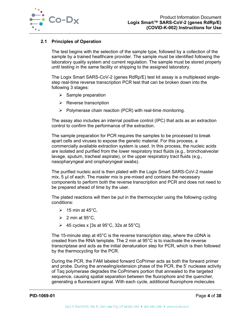

## <span id="page-4-0"></span>**2.1 Principles of Operation**

The test begins with the selection of the sample type, followed by a collection of the sample by a trained healthcare provider. The sample must be identified following the laboratory quality system and current regulation. The sample must be stored properly until testing in the same facility or shipping to the assigned laboratory.

The Logix Smart SARS-CoV-2 (genes RdRp/E) test kit assay is a multiplexed singlestep real-time reverse transcription PCR test that can be broken down into the following 3 stages:

- $\triangleright$  Sample preparation
- $\triangleright$  Reverse transcription
- $\triangleright$  Polymerase chain reaction (PCR) with real-time monitoring.

The assay also includes an internal positive control (IPC) that acts as an extraction control to confirm the performance of the extraction.

The sample preparation for PCR requires the samples to be processed to break apart cells and viruses to expose the genetic material. For this process, a commercially available extraction system is used. In this process, the nucleic acids are isolated and purified from the lower respiratory tract fluids (e.g., bronchoalveolar lavage, sputum, tracheal aspirate), or the upper respiratory tract fluids (e.g., nasopharyngeal and oropharyngeal swabs).

The purified nucleic acid is then plated with the Logix Smart SARS-CoV-2 master mix, 5 µl of each. The master mix is pre-mixed and contains the necessary components to perform both the reverse transcription and PCR and does not need to be prepared ahead of time by the user.

The plated reactions will then be put in the thermocycler using the following cycling conditions:

- $\geqslant$  15 min at 45°C,
- $\geqslant$  2 min at 95°C,
- $\geq 45$  cycles x [3s at 95°C, 32s at 55°C].

The 15-minute step at 45°C is the reverse transcription step, where the cDNA is created from the RNA template. The 2 min at 95°C is to inactivate the reverse transcriptase and acts as the initial denaturation step for PCR, which is then followed by the thermocycling for the PCR.

During the PCR, the FAM labeled forward CoPrimer acts as both the forward primer and probe. During the annealing/extension phase of the PCR, the 5' nuclease activity of Taq polymerase degrades the CoPrimers portion that annealed to the targeted sequence, causing spatial separation between the fluorophore and the quencher, generating a fluorescent signal. With each cycle, additional fluorophore molecules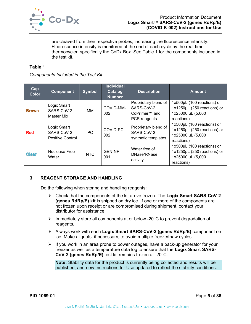

are cleaved from their respective probes, increasing the fluorescence intensity. Fluorescence intensity is monitored at the end of each cycle by the real-time thermocycler, specifically the CoDx Box. See [Table 1](#page-5-2) for the components included in the test kit.

#### <span id="page-5-2"></span>**Table 1**

*Components Included in the Test Kit*

| Cap<br><b>Color</b> | <b>Component</b>                                     | <b>Symbol</b> | <b>Individual</b><br>Catalog<br><b>Number</b> | <b>Description</b>                                                              | <b>Amount</b>                                                                                |
|---------------------|------------------------------------------------------|---------------|-----------------------------------------------|---------------------------------------------------------------------------------|----------------------------------------------------------------------------------------------|
| <b>Brown</b>        | Logix Smart<br>SARS-CoV-2<br>Master Mix              | MМ            | COVID-MM-<br>002                              | Proprietary blend of<br>SARS-CoV-2<br>CoPrimer <sup>™</sup> and<br>PCR reagents | 1x500µL (100 reactions) or<br>1x1250µL (250 reactions) or<br>1x25000 µL (5,000<br>reactions) |
| <b>Red</b>          | Logix Smart<br>SARS-CoV-2<br><b>Positive Control</b> | PC            | COVID-PC-<br>002                              | Proprietary blend of<br>SARS-CoV-2<br>synthetic templates                       | 1x500µL (100 reactions) or<br>1x1250µL (250 reactions) or<br>1x25000 µL (5,000<br>reactions) |
| <b>Clear</b>        | Nuclease Free<br>Water                               | <b>NTC</b>    | GEN-NF-<br>001                                | Water free of<br>DNase/RNase<br>activity                                        | 1x500µL (100 reactions) or<br>1x1250µL (250 reactions) or<br>1x25000 µL (5,000<br>reactions) |

## <span id="page-5-0"></span>**3 REAGENT STORAGE AND HANDLING**

Do the following when storing and handling reagents:

- Check that the components of the kit arrive frozen. The **Logix Smart SARS-CoV-2 (genes RdRp/E) kit** is shipped on dry ice. If one or more of the components are not frozen upon receipt or are compromised during shipment, contact your distributor for assistance.
- $\triangleright$  Immediately store all components at or below -20 $^{\circ}$ C to prevent degradation of reagents.
- Always work with each **Logix Smart SARS-CoV-2 (genes RdRp/E)** component on ice. Make aliquots, if necessary, to avoid multiple freeze/thaw cycles.
- $\triangleright$  If you work in an area prone to power outages, have a back-up generator for your freezer as well as a temperature data log to ensure that the **Logix Smart SARS-CoV-2 (genes RdRp/E)** test kit remains frozen at -20°C.

<span id="page-5-1"></span>**Note:** Stability data for the product is currently being collected and results will be published, and new Instructions for Use updated to reflect the stability conditions.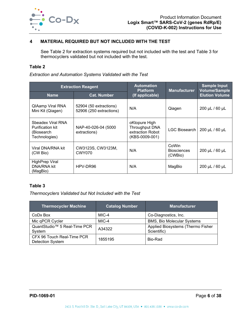

## **4 MATERIAL REQUIRED BUT NOT INCLUDED WITH THE TEST**

See [Table 2](#page-6-1) for extraction systems required but not included with the test and [Table 3](#page-6-2) for thermocyclers validated but not included with the test.

#### <span id="page-6-1"></span>**Table 2**

*Extraction and Automation Systems Validated with the Test*

|                                                                             | <b>Extraction Reagent</b>                         | <b>Automation</b><br><b>Platform</b>                                         | <b>Manufacturer</b>                    | <b>Sample Input</b><br><b>Volume/Sample</b> |  |
|-----------------------------------------------------------------------------|---------------------------------------------------|------------------------------------------------------------------------------|----------------------------------------|---------------------------------------------|--|
| <b>Cat. Number</b><br><b>Name</b>                                           |                                                   | (If applicable)                                                              |                                        | <b>Elution Volume</b>                       |  |
| <b>QIAamp Viral RNA</b><br>Mini Kit (Qiagen)                                | 52904 (50 extractions)<br>52906 (250 extractions) | N/A                                                                          | Qiagen                                 | 200 µL / 60 µL                              |  |
| Sbeadex Viral RNA<br><b>Purification kit</b><br>(Biosearch<br>Technologies) | NAP-40-026-04 (5000<br>extractions)               | oKtopure High<br><b>Throughput DNA</b><br>extraction Robot<br>(KBS-0009-001) | LGC Biosearch                          | 200 µL / 60 µL                              |  |
| Viral DNA/RNA kit<br>(CW Bio)                                               | CW3123S, CW3123M,<br><b>CWY070</b>                | N/A                                                                          | CoWin<br><b>Biosciences</b><br>(CWBio) | 200 µL / 60 µL                              |  |
| <b>HighPrep Viral</b><br><b>DNA/RNA kit</b><br>(MagBio)                     | HPV-DR96                                          | N/A                                                                          | MagBio                                 | 200 µL / 60 µL                              |  |

## <span id="page-6-2"></span>**Table 3**

*Thermocyclers Validated but Not Included with the Test*

<span id="page-6-0"></span>

| <b>Thermocycler Machine</b>                        | <b>Catalog Number</b> | <b>Manufacturer</b>                              |
|----------------------------------------------------|-----------------------|--------------------------------------------------|
| CoDx Box                                           | MIC-4                 | Co-Diagnostics, Inc.                             |
| Mic qPCR Cycler                                    | MIC-4                 | <b>BMS, Bio Molecular Systems</b>                |
| QuantStudio <sup>™</sup> 5 Real-Time PCR<br>System | A34322                | Applied Biosystems (Thermo Fisher<br>Scientific) |
| CFX 96 Touch Real-Time PCR<br>Detection System     | 1855195               | Bio-Rad                                          |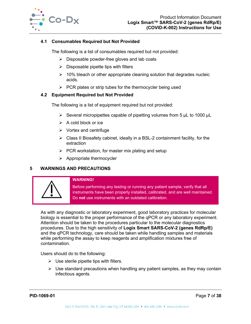

### **4.1 Consumables Required but Not Provided**

The following is a list of consumables required but not provided:

- $\triangleright$  Disposable powder-free gloves and lab coats
- $\triangleright$  Disposable pipette tips with filters
- $\geq$  10% bleach or other appropriate cleaning solution that degrades nucleic acids.
- $\triangleright$  PCR plates or strip tubes for the thermocycler being used

#### <span id="page-7-0"></span>**4.2 Equipment Required but Not Provided**

The following is a list of equipment required but not provided:

- $\triangleright$  Several micropipettes capable of pipetting volumes from 5 µL to 1000 µL
- $\triangleright$  A cold block or ice
- $\triangleright$  Vortex and centrifuge
- $\triangleright$  Class II Biosafety cabinet, ideally in a BSL-2 containment facility, for the extraction
- $\triangleright$  PCR workstation, for master mix plating and setup
- $\triangleright$  Appropriate thermocycler

## <span id="page-7-1"></span>**5 WARNINGS AND PRECAUTIONS**



#### **WARNING!**

Before performing any testing or running any patient sample, verify that all instruments have been properly installed, calibrated, and are well maintained. Do **not** use instruments with an outdated calibration.

As with any diagnostic or laboratory experiment, good laboratory practices for molecular biology is essential to the proper performance of the qPCR or any laboratory experiment. Attention should be taken to the procedures particular to the molecular diagnostics procedures. Due to the high sensitivity of **Logix Smart SARS-CoV-2 (genes RdRp/E)** and the qPCR technology, care should be taken while handling samples and materials while performing the assay to keep reagents and amplification mixtures free of contamination.

Users should do to the following:

- $\triangleright$  Use sterile pipette tips with filters.
- $\triangleright$  Use standard precautions when handling any patient samples, as they may contain infectious agents.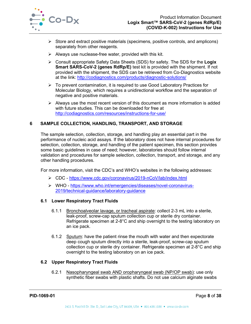

- $\triangleright$  Store and extract positive materials (specimens, positive controls, and amplicons) separately from other reagents.
- $\triangleright$  Always use nuclease-free water, provided with this kit.
- Consult appropriate Safety Data Sheets (SDS) for safety. The SDS for the **Logix Smart SARS-CoV-2 (genes RdRp/E)** test kit is provided with the shipment. If not provided with the shipment, the SDS can be retrieved from Co-Diagnostics website at the link:<http://codiagnostics.com/products/diagnostic-solutions/>
- $\triangleright$  To prevent contamination, it is required to use Good Laboratory Practices for Molecular Biology, which requires a unidirectional workflow and the separation of negative and positive materials.
- $\triangleright$  Always use the most recent version of this document as more information is added with future studies. This can be downloaded for free at <http://codiagnostics.com/resources/instructions-for-use/>

## <span id="page-8-0"></span>**6 SAMPLE COLLECTION, HANDLING, TRANSPORT, AND STORAGE**

The sample selection, collection, storage, and handling play an essential part in the performance of nucleic acid assays. If the laboratory does not have internal procedures for selection, collection, storage, and handling of the patient specimen, this section provides some basic guidelines in case of need; however, laboratories should follow internal validation and procedures for sample selection, collection, transport, and storage, and any other handling procedures.

For more information, visit the CDC's and WHO's websites in the following addresses:

- CDC <https://www.cdc.gov/coronavirus/2019-nCoV/lab/index.html>
- WHO [https://www.who.int/emergencies/diseases/novel-coronavirus-](https://www.who.int/emergencies/diseases/novel-coronavirus-2019/technical-guidance/laboratory-guidance)[2019/technical-guidance/laboratory-guidance](https://www.who.int/emergencies/diseases/novel-coronavirus-2019/technical-guidance/laboratory-guidance)

#### **6.1 Lower Respiratory Tract Fluids**

- 6.1.1 Bronchoalveolar lavage, or tracheal aspirate: collect 2-3 mL into a sterile, leak-proof, screw-cap sputum collection cup or sterile dry container. Refrigerate specimen at 2-8°C and ship overnight to the testing laboratory on an ice pack.
- 6.1.2 Sputum: have the patient rinse the mouth with water and then expectorate deep cough sputum directly into a sterile, leak-proof, screw-cap sputum collection cup or sterile dry container. Refrigerate specimen at 2-8°C and ship overnight to the testing laboratory on an ice pack.

#### **6.2 Upper Respiratory Tract Fluids**

6.2.1 Nasopharyngeal swab AND oropharyngeal swab (NP/OP swab): use only synthetic fiber swabs with plastic shafts. Do not use calcium alginate swabs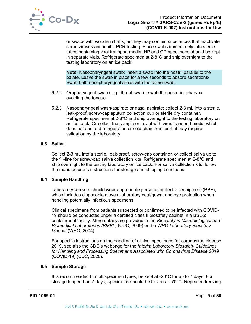

or swabs with wooden shafts, as they may contain substances that inactivate some viruses and inhibit PCR testing. Place swabs immediately into sterile tubes containing viral transport media. NP and OP specimens should be kept in separate vials. Refrigerate specimen at 2-8°C and ship overnight to the testing laboratory on an ice pack.

**Note:** Nasopharyngeal swab: Insert a swab into the nostril parallel to the palate. Leave the swab in place for a few seconds to absorb secretions/ Swab both nasopharyngeal areas with the same swab.

- 6.2.2 Oropharyngeal swab (e.g., throat swab): swab the posterior pharynx, avoiding the tongue.
- 6.2.3 Nasopharyngeal wash/aspirate or nasal aspirate: collect 2-3 mL into a sterile, leak-proof, screw-cap sputum collection cup or sterile dry container. Refrigerate specimen at 2-8°C and ship overnight to the testing laboratory on an ice pack. Or collect the sample on a vial with virus transport media which does not demand refrigeration or cold chain transport, it may require validation by the laboratory.

#### **6.3 Saliva**

Collect 2-3 mL into a sterile, leak-proof, screw-cap container, or collect saliva up to the fill-line for screw-cap saliva collection kits. Refrigerate specimen at 2-8°C and ship overnight to the testing laboratory on ice pack. For saliva collection kits, follow the manufacturer's instructions for storage and shipping conditions.

## <span id="page-9-0"></span>**6.4 Sample Handling**

Laboratory workers should wear appropriate personal protective equipment (PPE), which includes disposable gloves, laboratory coat/gown, and eye protection when handling potentially infectious specimens.

Clinical specimens from patients suspected or confirmed to be infected with COVID-19 should be conducted under a certified class II biosafety cabinet in a BSL-2 containment facility. More details are provided in the *Biosafety in Microbiological and Biomedical Laboratories (BMBL)* (CDC, 2009) or the *WHO Laboratory Biosafety Manual* (WHO, 2004).

For specific instructions on the handling of clinical specimens for coronavirus disease 2019, see also the CDC's webpage for the *Interim Laboratory Biosafety Guidelines for Handling and Processing Specimens Associated with Coronavirus Disease 2019* (COVID-19) (CDC, 2020).

#### <span id="page-9-1"></span>**6.5 Sample Storage**

It is recommended that all specimen types, be kept at -20°C for up to 7 days. For storage longer than 7 days, specimens should be frozen at -70°C. Repeated freezing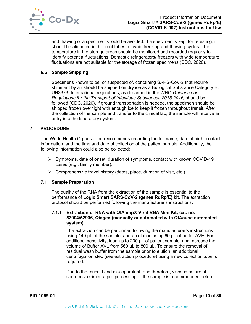

and thawing of a specimen should be avoided. If a specimen is kept for retesting, it should be aliquoted in different tubes to avoid freezing and thawing cycles. The temperature in the storage areas should be monitored and recorded regularly to identify potential fluctuations. Domestic refrigerators/ freezers with wide temperature fluctuations are not suitable for the storage of frozen specimens (CDC, 2020).

### <span id="page-10-0"></span>**6.6 Sample Shipping**

Specimens known to be, or suspected of, containing SARS-CoV-2 that require shipment by air should be shipped on dry ice as a Biological Substance Category B, UN3373. International regulations, as described in the WHO *Guidance on Regulations for the Transport of Infectious Substances 2015-2016,* should be followed (CDC, 2020). If ground transportation is needed, the specimen should be shipped frozen overnight with enough ice to keep it frozen throughout transit. After the collection of the sample and transfer to the clinical lab, the sample will receive an entry into the laboratory system.

## <span id="page-10-1"></span>**7 PROCEDURE**

The World Health Organization recommends recording the full name, date of birth, contact information, and the time and date of collection of the patient sample. Additionally, the following information could also be collected:

- $\triangleright$  Symptoms, date of onset, duration of symptoms, contact with known COVID-19 cases (e.g., family member).
- $\triangleright$  Comprehensive travel history (dates, place, duration of visit, etc.).

## <span id="page-10-2"></span>**7.1 Sample Preparation**

The quality of the RNA from the extraction of the sample is essential to the performance of **Logix Smart SARS-CoV-2 (genes RdRp/E) kit**. The extraction protocol should be performed following the manufacturer's instructions.

## **7.1.1 Extraction of RNA with QIAamp® Viral RNA Mini Kit, cat. no. 52904/52906, Qiagen (manually or automated with QIAcube automated system)**

The extraction can be performed following the manufacturer's instructions using 140 µL of the sample, and an elution using 60 µL of buffer AVE. For additional sensitivity, load up to 200 µL of patient sample, and increase the volume of Buffer AVL from 560 µL to 800 µL. To ensure the removal of residual wash buffer from the sample prior to elution, an additional centrifugation step (see extraction procedure) using a new collection tube is required.

Due to the mucoid and mucopurulent, and therefore, viscous nature of sputum specimen a pre-processing of the sample is recommended before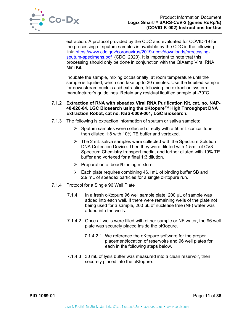

extraction. A protocol provided by the CDC and evaluated for COVID-19 for the processing of sputum samples is available by the CDC in the following link: [https://www.cdc.gov/coronavirus/2019-ncov/downloads/processing](https://www.cdc.gov/coronavirus/2019-ncov/downloads/processing-sputum-specimens.pdf)[sputum-specimens.pdf](https://www.cdc.gov/coronavirus/2019-ncov/downloads/processing-sputum-specimens.pdf) (CDC, 2020). It is important to note that this processing should only be done in conjunction with the QIAamp Viral RNA Mini Kit.

Incubate the sample, mixing occasionally, at room temperature until the sample is liquified, which can take up to 30 minutes. Use the liquified sample for downstream nucleic acid extraction, following the extraction system manufacturer's guidelines. Retain any residual liquified sample at -70°C.

#### **7.1.2 Extraction of RNA with sbeadex Viral RNA Purification Kit, cat. no. NAP-40-026-04, LGC Biosearch using the oKtopure™ High Throughput DNA Extraction Robot, cat no. KBS-0009-001, LGC Biosearch.**

- 7.1.3 The following is extraction information of sputum or saliva samples:
	- $\triangleright$  Sputum samples were collected directly with a 50 mL conical tube, then diluted 1:8 with 10% TE buffer and vortexed.
	- $\triangleright$  The 2 mL saliva samples were collected with the Spectrum Solution DNA Collection Device. Then they were diluted with 1.5mL of CV3 Spectrum Chemistry transport media, and further diluted with 10% TE buffer and vortexed for a final 1:3 dilution.
	- $\triangleright$  Preparation of bead/binding mixture
	- $\triangleright$  Each plate requires combining 46.1mL of binding buffer SB and 2.9 mL of sbeadex particles for a single oKtopure run.
- 7.1.4 Protocol for a Single 96 Well Plate
	- 7.1.4.1 In a fresh oKtopure 96 well sample plate, 200 µL of sample was added into each well. If there were remaining wells of the plate not being used for a sample, 200 µL of nuclease free (NF) water was added into the wells.
	- 7.1.4.2 Once all wells were filled with either sample or NF water, the 96 well plate was securely placed inside the oKtopure.
		- 7.1.4.2.1 We reference the oKtopure software for the proper placement/location of reservoirs and 96 well plates for each in the following steps below.
	- 7.1.4.3 30 mL of lysis buffer was measured into a clean reservoir, then securely placed into the oKtopure.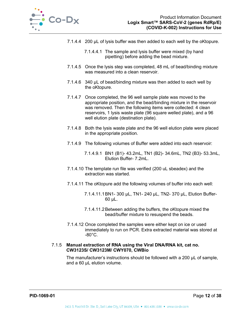

- 7.1.4.4 200 µL of lysis buffer was then added to each well by the oKtopure.
	- 7.1.4.4.1 The sample and lysis buffer were mixed (by hand pipetting) before adding the bead mixture.
- 7.1.4.5 Once the lysis step was completed, 48 mL of bead/binding mixture was measured into a clean reservoir.
- 7.1.4.6 340 µL of bead/binding mixture was then added to each well by the oKtopure.
- 7.1.4.7 Once completed, the 96 well sample plate was moved to the appropriate position, and the bead/binding mixture in the reservoir was removed. Then the following items were collected: 4 clean reservoirs, 1 lysis waste plate (96 square welled plate), and a 96 well elution plate (destination plate).
- 7.1.4.8 Both the lysis waste plate and the 96 well elution plate were placed in the appropriate position.
- 7.1.4.9 The following volumes of Buffer were added into each reservoir:
	- 7.1.4.9.1 BN1 (B1)- 43.2mL, TN1 (B2)- 34.6mL, TN2 (B3)- 53.3mL, Elution Buffer- 7.2mL.
- 7.1.4.10 The template run file was verified (200 uL sbeadex) and the extraction was started.
- 7.1.4.11 The oKtopure add the following volumes of buffer into each well:
	- 7.1.4.11.1BN1- 300 µL, TN1- 240 µL, TN2- 370 µL, Elution Buffer-60 µL.
	- 7.1.4.11.2Between adding the buffers, the oKtopure mixed the bead/buffer mixture to resuspend the beads.
- 7.1.4.12 Once completed the samples were either kept on ice or used immediately to run on PCR. Extra extracted material was stored at  $-80^{\circ}$ C.

#### 7.1.5 **Manual extraction of RNA using the Viral DNA/RNA kit, cat no. CW3123S/ CW3123M/ CWY070, CWBio**

The manufacturer's instructions should be followed with a 200 µL of sample, and a 60 µL elution volume.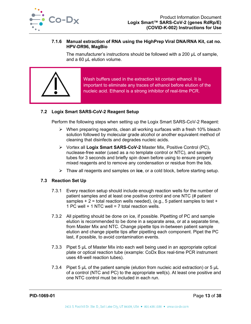

#### **7.1.6 Manual extraction of RNA using the HighPrep Viral DNA/RNA Kit, cat no. HPV-DR96, MagBio**

The manufacturer's instructions should be followed with a 200 µL of sample, and a 60 µL elution volume.



Wash buffers used in the extraction kit contain ethanol. It is important to eliminate any traces of ethanol before elution of the nucleic acid. Ethanol is a strong inhibitor of real-time PCR.

## <span id="page-13-0"></span>**7.2 Logix Smart SARS-CoV-2 Reagent Setup**

Perform the following steps when setting up the Logix Smart SARS-CoV-2 Reagent:

- $\triangleright$  When preparing reagents, clean all working surfaces with a fresh 10% bleach solution followed by molecular grade alcohol or another equivalent method of cleaning that disinfects and degrades nucleic acids.
- Vortex all **Logix Smart SARS-CoV-2** Master Mix, Positive Control (PC), nuclease-free water (used as a no template control or NTC), and sample tubes for 3 seconds and briefly spin down before using to ensure properly mixed reagents and to remove any condensation or residue from the lids.
- Thaw all reagents and samples on **ice**, or a cold block, before starting setup.

## <span id="page-13-1"></span>**7.3 Reaction Set Up**

- 7.3.1 Every reaction setup should include enough reaction wells for the number of patient samples and at least one positive control and one NTC (# patient samples  $+ 2 =$  total reaction wells needed), (e.g., 5 patient samples to test  $+$ 1 PC well + 1 NTC well = 7 total reaction wells.
- 7.3.2 All pipetting should be done on ice, if possible. Pipetting of PC and sample elution is recommended to be done in a separate area, or at a separate time, from Master Mix and NTC. Change pipette tips in-between patient sample elution and change pipette tips after pipetting each component. Pipet the PC last, if possible, to avoid contamination events.
- 7.3.3 Pipet 5 µL of Master Mix into each well being used in an appropriate optical plate or optical reaction tube (example: CoDx Box real-time PCR instrument uses 48-well reaction tubes).
- 7.3.4 Pipet 5 µL of the patient sample (elution from nucleic acid extraction) or 5 µL of a control (NTC and PC) to the appropriate well(s). At least one positive and one NTC control must be included in each run.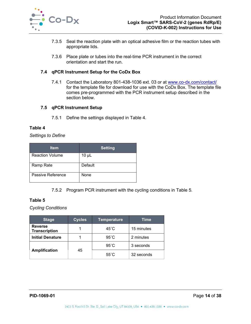

- 7.3.5 Seal the reaction plate with an optical adhesive film or the reaction tubes with appropriate lids.
- 7.3.6 Place plate or tubes into the real-time PCR instrument in the correct orientation and start the run.

### <span id="page-14-0"></span>**7.4 qPCR Instrument Setup for the CoDx Box**

7.4.1 Contact the Laboratory 801-438-1036 ext. 03 or at [www.co-dx.com/contact/](http://www.co-dx.com/contact/) for the template file for download for use with the CoDx Box. The template file comes pre-programmed with the PCR instrument setup described in the section below.

#### <span id="page-14-1"></span>**7.5 qPCR Instrument Setup**

7.5.1 Define the settings displayed in [Table 4.](#page-14-2)

#### <span id="page-14-2"></span>**Table 4**

*Settings to Define*

| <b>Item</b>            | <b>Setting</b> |
|------------------------|----------------|
| <b>Reaction Volume</b> | $10 \mu L$     |
| Ramp Rate              | Default        |
| Passive Reference      | None           |

7.5.2 Program PCR instrument with the cycling conditions in [Table 5.](#page-14-3)

## <span id="page-14-3"></span>**Table 5**

*Cycling Conditions*

| <b>Stage</b>                           | <b>Cycles</b> | <b>Temperature</b> | Time       |
|----------------------------------------|---------------|--------------------|------------|
| <b>Reverse</b><br><b>Transcription</b> |               | $45^{\circ}$ C     | 15 minutes |
| <b>Initial Denature</b>                |               | $95^{\circ}$ C     | 2 minutes  |
|                                        |               | $95^{\circ}$ C     | 3 seconds  |
| <b>Amplification</b>                   | 45            | $55^{\circ}$ C     | 32 seconds |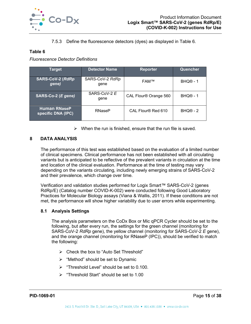

7.5.3 Define the fluorescence detectors (dyes) as displayed in [Table 6.](#page-15-2)

#### <span id="page-15-2"></span>**Table 6**

*Fluorescence Detector Definitions*

| Tarqet                                     | <b>Detector Name</b>    | <b>Reporter</b>       | Quencher                   |
|--------------------------------------------|-------------------------|-----------------------|----------------------------|
| <b>SARS-CoV-2 (RdRp</b><br>gene)           | SARS-CoV-2 RdRp<br>qene | FAM™                  | <b>BHQ<sup>®</sup> - 1</b> |
| SARS-CoV-2 E<br>SARS-Co-2 (E gene)<br>gene |                         | CAL Flour® Orange 560 | $BHQ@ - 1$                 |
| <b>Human RNaseP</b><br>specific DNA (IPC)  | <b>RNaseP</b>           | CAL Flour® Red 610    | $BHQ@ - 2$                 |

 $\triangleright$  When the run is finished, ensure that the run file is saved.

## <span id="page-15-0"></span>**8 DATA ANALYSIS**

The performance of this test was established based on the evaluation of a limited number of clinical specimens. Clinical performance has not been established with all circulating variants but is anticipated to be reflective of the prevalent variants in circulation at the time and location of the clinical evaluation. Performance at the time of testing may vary depending on the variants circulating, including newly emerging strains of SARS-CoV-2 and their prevalence, which change over time.

Verification and validation studies performed for Logix Smart™ SARS-CoV-2 (genes RdRp/E) (Catalog number COVID-K-002) were conducted following Good Laboratory Practices for Molecular Biology assays (Viana & Wallis, 2011). If these conditions are not met, the performance will show higher variability due to user errors while experimenting.

## <span id="page-15-1"></span>**8.1 Analysis Settings**

The analysis parameters on the CoDx Box or Mic qPCR Cycler should be set to the following, but after every run, the settings for the green channel (monitoring for SARS-CoV-2 *RdRp* gene), the yellow channel (monitoring for SARS-CoV-2 *E* gene), and the orange channel (monitoring for RNaseP (IPC)), should be verified to match the following:

- Check the box to "Auto Set Threshold"
- $\triangleright$  "Method" should be set to Dynamic
- $\triangleright$  "Threshold Level" should be set to 0.100.
- $\triangleright$  "Threshold Start" should be set to 1.00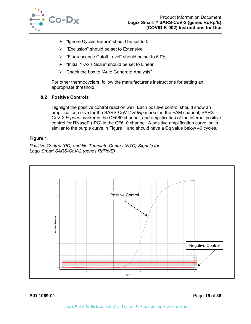

- $\triangleright$  "Ignore Cycles Before" should be set to 5.
- $\triangleright$  "Exclusion" should be set to Extensive
- $\triangleright$  "Fluorescence Cutoff Level" should be set to 5.0%
- $\triangleright$  "Initial Y-Axis Scale" should be set to Linear
- $\triangleright$  Check the box to "Auto Generate Analysis"

For other thermocyclers, follow the manufacturer's instructions for setting an appropriate threshold.

## <span id="page-16-0"></span>**8.2 Positive Controls**

Highlight the positive control reaction well. Each positive control should show an amplification curve for the SARS-CoV-2 *RdRp* marker in the FAM channel, SARS-CoV-2 *E-gene* marker in the CF560 channel, and amplification of the internal positive control for RNaseP (IPC) in the CF610 channel. A positive amplification curve looks similar to the purple curve in [Figure 1](#page-16-2) and should have a Cq value below 40 cycles.

## <span id="page-16-2"></span>**Figure 1**

*Positive Control (PC) and No Template Control (NTC) Signals for Logix Smart SARS-CoV-2 (genes RdRp/E)*



<span id="page-16-1"></span>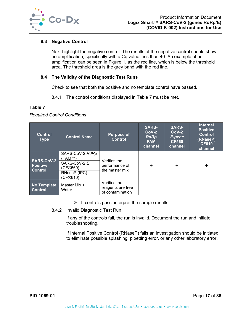

## **8.3 Negative Control**

Next highlight the negative control. The results of the negative control should show no amplification, specifically with a Cq value less than 40. An example of no amplification can be seen in [Figure 1,](#page-16-2) as the red line, which is below the threshold area. The threshold area is the grey band with the red line.

## <span id="page-17-0"></span>**8.4 The Validity of the Diagnostic Test Runs**

Check to see that both the positive and no template control have passed.

8.4.1 The control conditions displayed in [Table 7](#page-17-2) must be met.

#### <span id="page-17-2"></span>**Table 7**

*Required Control Conditions*

| <b>Control</b><br><b>Type</b>                          | <b>Control Name</b>                                                               | <b>Purpose of</b><br><b>Control</b>                   | <b>SARS-</b><br>$CoV-2$<br><b>RdRp</b><br><b>FAM</b><br>channel | <b>SARS-</b><br>$CoV-2$<br>E-gene<br><b>CF560</b><br>channel | <b>Internal</b><br><b>Positive</b><br><b>Control</b><br>(RNaseP)<br><b>CF610</b><br>channel |
|--------------------------------------------------------|-----------------------------------------------------------------------------------|-------------------------------------------------------|-----------------------------------------------------------------|--------------------------------------------------------------|---------------------------------------------------------------------------------------------|
| <b>SARS-CoV-2</b><br><b>Positive</b><br><b>Control</b> | SARS-CoV-2 RdRp<br>(FAM™)<br>SARS-CoV-2 E<br>(CF®560)<br>RNaseP (IPC)<br>(CF®610) | Verifies the<br>performance of<br>the master mix      |                                                                 | $\div$                                                       | ÷                                                                                           |
| No Template<br><b>Control</b>                          | Master Mix +<br>Water                                                             | Verifies the<br>reagents are free<br>of contamination |                                                                 |                                                              |                                                                                             |

- $\triangleright$  If controls pass, interpret the sample results.
- 8.4.2 Invalid Diagnostic Test Run

If any of the controls fail, the run is invalid. Document the run and initiate troubleshooting.

<span id="page-17-1"></span>If Internal Positive Control (RNaseP) fails an investigation should be initiated to eliminate possible splashing, pipetting error, or any other laboratory error.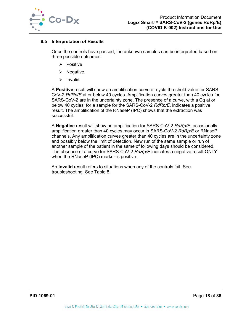

## **8.5 Interpretation of Results**

Once the controls have passed, the unknown samples can be interpreted based on three possible outcomes:

- $\triangleright$  Positive
- $\triangleright$  Negative
- $\triangleright$  Invalid

A **Positive** result will show an amplification curve or cycle threshold value for SARS-CoV-2 *RdRp/E* at or below 40 cycles. Amplification curves greater than 40 cycles for SARS-CoV-2 are in the uncertainty zone. The presence of a curve, with a Cq at or below 40 cycles, for a sample for the SARS-CoV-2 *RdRp/E*, indicates a positive result. The amplification of the RNaseP (IPC) shows that the extraction was successful.

A **Negative** result will show no amplification for SARS-CoV-2 *RdRp/E*; occasionally amplification greater than 40 cycles may occur in SARS-CoV-2 *RdRp/E* or RNaseP channels. Any amplification curves greater than 40 cycles are in the uncertainty zone and possibly below the limit of detection. New run of the same sample or run of another sample of the patient in the same of following days should be considered. The absence of a curve for SARS-CoV-2 *RdRp/E* indicates a negative result ONLY when the RNaseP (IPC) marker is positive.

An **Invalid** result refers to situations when any of the controls fail. See troubleshooting. See [Table 8.](#page-19-1)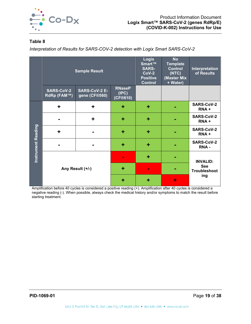

<span id="page-19-1"></span>*Interpretation of Results for SARS-COV-2 detection with Logix Smart SARS-CoV-2*

|                           |                                         | <b>Sample Result</b>                  |                                    | Logix<br>Smart™<br><b>SARS-</b><br>$CoV-2$<br><b>Positive</b><br><b>Control</b> | <b>No</b><br><b>Template</b><br><b>Control</b><br>(NTC)<br>(Master Mix<br>+ Water) | Interpretation<br>of Results      |
|---------------------------|-----------------------------------------|---------------------------------------|------------------------------------|---------------------------------------------------------------------------------|------------------------------------------------------------------------------------|-----------------------------------|
|                           | <b>SARS-CoV-2</b><br><b>RdRp (FAM™)</b> | <b>SARS-CoV-2 E-</b><br>gene (CF®560) | <b>RNaseP</b><br>(IPC)<br>(CF@610) |                                                                                 |                                                                                    |                                   |
|                           | $\ddot{\phantom{1}}$                    | $\ddot{}$                             | ٠                                  | ٠                                                                               |                                                                                    | <b>SARS-CoV-2</b><br>RNA+         |
|                           |                                         | $\ddot{}$                             | ٠                                  | $\ddot{}$                                                                       |                                                                                    | <b>SARS-CoV-2</b><br>RNA+         |
|                           | ÷                                       |                                       | ٠                                  | ٠                                                                               |                                                                                    | <b>SARS-CoV-2</b><br>RNA+         |
| <b>Instrument Reading</b> |                                         |                                       | ٠                                  | ٠                                                                               |                                                                                    | <b>SARS-CoV-2</b><br>RNA-         |
|                           |                                         |                                       | $\blacksquare$                     | ٠                                                                               |                                                                                    | <b>INVALID:</b>                   |
|                           |                                         | Any Result (+/-)                      | ٠                                  | $\blacksquare$                                                                  |                                                                                    | <b>See</b><br><b>Troubleshoot</b> |
|                           |                                         |                                       | $\ddot{}$                          | ÷                                                                               | ٠                                                                                  | ing                               |

<span id="page-19-0"></span>Amplification before 40 cycles is considered a positive reading (+). Amplification after 40 cycles is considered a negative reading (-). When possible, always check the medical history and/or symptoms to match the result before starting treatment.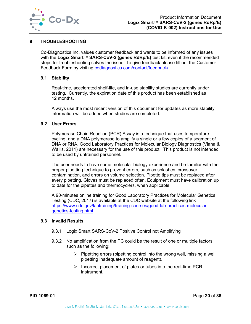

## **9 TROUBLESHOOTING**

Co-Diagnostics Inc. values customer feedback and wants to be informed of any issues with the **Logix Smart™ SARS-CoV-2 (genes RdRp/E)** test kit**,** even if the recommended steps for troubleshooting solves the issue. To give feedback please fill out the Customer Feedback Form by visiting codiagnostics.com/contact/feedback/

#### <span id="page-20-0"></span>**9.1 Stability**

Real-time, accelerated shelf-life, and in-use stability studies are currently under testing. Currently, the expiration date of this product has been established as 12 months.

Always use the most recent version of this document for updates as more stability information will be added when studies are completed.

### <span id="page-20-1"></span>**9.2 User Errors**

Polymerase Chain Reaction (PCR) Assay is a technique that uses temperature cycling, and a DNA polymerase to amplify a single or a few copies of a segment of DNA or RNA. Good Laboratory Practices for Molecular Biology Diagnostics (Viana & Wallis, 2011) are necessary for the use of this product. This product is not intended to be used by untrained personnel.

The user needs to have some molecular biology experience and be familiar with the proper pipetting technique to prevent errors, such as splashes, crossover contamination, and errors on volume selection. Pipette tips must be replaced after every pipetting. Gloves must be replaced often. Equipment must have calibration up to date for the pipettes and thermocyclers, when applicable.

A 90-minutes online training for Good Laboratory Practices for Molecular Genetics Testing (CDC, 2017) is available at the CDC website at the following link [https://www.cdc.gov/labtraining/training-courses/good-lab-practices-molecular](https://www.cdc.gov/labtraining/training-courses/good-lab-practices-molecular-genetics-testing.html)[genetics-testing.html](https://www.cdc.gov/labtraining/training-courses/good-lab-practices-molecular-genetics-testing.html)

#### <span id="page-20-2"></span>**9.3 Invalid Results**

- 9.3.1 Logix Smart SARS-CoV-2 Positive Control not Amplifying
- 9.3.2 No amplification from the PC could be the result of one or multiple factors, such as the following:
	- $\triangleright$  Pipetting errors (pipetting control into the wrong well, missing a well, pipetting inadequate amount of reagent),
	- $\triangleright$  Incorrect placement of plates or tubes into the real-time PCR instrument,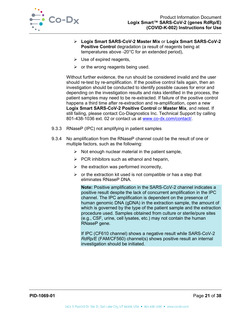

- **Logix Smart SARS-CoV-2 Master Mix** or **Logix Smart SARS-CoV-2 Positive Control** degradation (a result of reagents being at temperatures above -20°C for an extended period),
- $\triangleright$  Use of expired reagents,
- $\triangleright$  or the wrong reagents being used.

Without further evidence, the run should be considered invalid and the user should re-test by re-amplification. If the positive control fails again, then an investigation should be conducted to identify possible causes for error and depending on the investigation results and risks identified in the process, the patient samples may need to be re-extracted. If failure of the positive control happens a third time after re-extraction and re-amplification, open a new **Logix Smart SARS-CoV-2 Positive Control** or **Master Mix**, and retest. If still failing, please contact Co-Diagnostics Inc. Technical Support by calling 801-438-1036 ext. 02 or contact us at [www.co-dx.com/contact/.](http://www.co-dx.com/contact/)

- 9.3.3 RNaseP (IPC) not amplifying in patient samples
- 9.3.4 No amplification from the RNaseP channel could be the result of one or multiple factors, such as the following:
	- $\triangleright$  Not enough nuclear material in the patient sample,
	- $\triangleright$  PCR inhibitors such as ethanol and heparin,
	- $\triangleright$  the extraction was performed incorrectly,
	- $\triangleright$  or the extraction kit used is not compatible or has a step that eliminates RNaseP DNA.

**Note:** Positive amplification in the SARS-CoV-2 channel indicates a positive result despite the lack of concurrent amplification in the IPC channel. The IPC amplification is dependent on the presence of human genomic DNA (gDNA) in the extraction sample, the amount of which is governed by the type of the patient sample and the extraction procedure used. Samples obtained from culture or sterile/pure sites (e.g., CSF, urine, cell lysates, etc.) may not contain the human RNaseP gene.

If IPC (CF610 channel) shows a negative result while SARS-CoV-2 *RdRp/E* (FAM/CF560) channel(s) shows positive result an internal investigation should be initiated.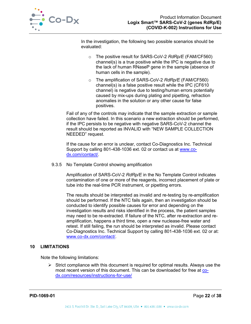

In the investigation, the following two possible scenarios should be evaluated:

- o The positive result for SARS-CoV-2 *RdRp/E* (FAM/CF560) channel(s) is a true positive while the IPC is negative due to the lack of human RNaseP gene in the sample (absence of human cells in the sample).
- o The amplification of SARS-CoV-2 *RdRp/E* (FAM/CF560) channel(s) is a false positive result while the IPC (CF610 channel) is negative due to testing/human errors potentially caused by mix-ups during plating and pipetting, refraction anomalies in the solution or any other cause for false positives.

Fail of any of the controls may indicate that the sample extraction or sample collection have failed. In this scenario a new extraction should be performed, if the IPC persists to be negative with negative SARS-CoV-2 channel the result should be reported as INVALID with "NEW SAMPLE COLLECTION NEEDED" request.

If the cause for an error is unclear, contact Co-Diagnostics Inc. Technical Support by calling 801-438-1036 ext. 02 or contact us at [www.co](http://www.co-dx.com/contact/)[dx.com/contact/.](http://www.co-dx.com/contact/)

9.3.5 No Template Control showing amplification

Amplification of SARS-CoV-2 *RdRp/E* in the No Template Control indicates contamination of one or more of the reagents, incorrect placement of plate or tube into the real-time PCR instrument, or pipetting errors.

The results should be interpreted as invalid and re-testing by re-amplification should be performed. If the NTC fails again, then an investigation should be conducted to identify possible causes for error and depending on the investigation results and risks identified in the process, the patient samples may need to be re-extracted. If failure of the NTC, after re-extraction and reamplification, happens a third time, open a new nuclease-free water and retest. If still failing, the run should be interpreted as invalid. Please contact Co-Diagnostics Inc. Technical Support by calling 801-438-1036 ext. 02 or at: [www.co-dx.com/contact/.](http://www.co-dx.com/contact/)

## <span id="page-22-0"></span>**10 LIMITATIONS**

Note the following limitations:

 $\triangleright$  Strict compliance with this document is required for optimal results. Always use the most recent version of this document. This can be downloaded for free at codx.com/resources/instructions-for-use/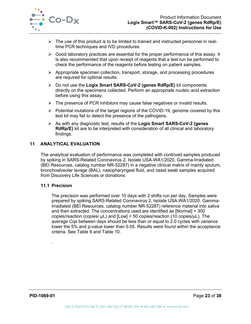

- $\triangleright$  The use of this product is to be limited to trained and instructed personnel in realtime PCR techniques and IVD procedures.
- $\triangleright$  Good laboratory practices are essential for the proper performance of this assay. It is also recommended that upon receipt of reagents that a test run be performed to check the performance of the reagents before testing on patient samples.
- $\triangleright$  Appropriate specimen collection, transport, storage, and processing procedures are required for optimal results.
- Do not use the **Logix Smart SARS-CoV-2 (genes RdRp/E)** kit components directly on the specimens collected. Perform an appropriate nucleic acid extraction before using this assay.
- $\triangleright$  The presence of PCR inhibitors may cause false negatives or invalid results.
- $\triangleright$  Potential mutations of the target regions of the COVID-19, genome covered by this test kit may fail to detect the presence of the pathogens.
- As with any diagnostic test, results of the **Logix Smart SARS-CoV-2 (genes RdRp/E)** kit are to be interpreted with consideration of all clinical and laboratory findings.

#### <span id="page-23-0"></span>**11 ANALYTICAL EVALUATION**

The analytical evaluation of performance was completed with contrived samples produced by spiking in SARS-Related Coronavirus 2, Isolate USA-WA1/2020, Gamma-Irradiated (BEI Resources, catalog number NR-52287) in a negative clinical matrix of mainly sputum, bronchoalveolar lavage (BAL), nasopharyngeal fluid, and nasal swab samples acquired from Discovery Life Sciences or donations.

#### <span id="page-23-1"></span>**11.1 Precision**

.

The precision was performed over 10 days with 2 shifts run per day. Samples were prepared by spiking SARS-Related Coronavirus 2, Isolate USA-WA1/2020, Gamma-Irradiated (BEI Resources, catalog number NR-52287) reference material into saliva and then extracted. The concentrations used are identified as [Normal] = 300 copies/reaction (copies/  $\mu$ L) and [Low] = 50 copies/reaction (10 copies/ $\mu$ L). The average Cqs between days should be less than or equal to 2.0 cycles with variance lower the 5% and p-value lower than 0.05. Results were found within the acceptance criteria. See [Table 9](#page-24-0) and [Table 10.](#page-24-1)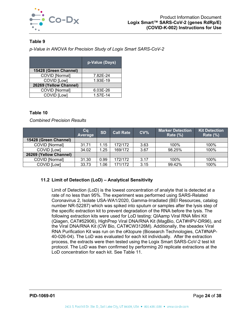

<span id="page-24-0"></span>*p-Value in ANOVA for Precision Study of Logix Smart SARS-CoV-2*

|                        | p-Value (Days) |
|------------------------|----------------|
| 15428 (Green Channel)  |                |
| COVID [Normal]         | 7.82E-24       |
| COVID [Low]            | 1.93E-19       |
| 26269 (Yellow Channel) |                |
| COVID [Normal]         | 6.03E-26       |
| COVID [Low]            | 1.57E-14       |

## <span id="page-24-1"></span>**Table 10**

*Combined Precision Results* 

|                        | Cq<br>Average | <b>SD</b> | <b>Call Rate</b> | CV <sub>0</sub> | <b>Marker Detection</b><br><b>Rate (%)</b> | <b>Kit Detection</b><br><b>Rate (%)</b> |
|------------------------|---------------|-----------|------------------|-----------------|--------------------------------------------|-----------------------------------------|
| 15428 (Green Channel)  |               |           |                  |                 |                                            |                                         |
| <b>COVID [Normal]</b>  | 31.71         | .15       | 172/172          | 3.63            | 100%                                       | 100%                                    |
| COVID [Low]            | 34.02         | .25       | 169/172          | 3.67            | 98.25%                                     | 100%                                    |
| 26269 (Yellow Channel) |               |           |                  |                 |                                            |                                         |
| <b>COVID [Normal]</b>  | 31.30         | 0.99      | 172/172          | 3.17            | 100%                                       | 100%                                    |
| COVID [Low]            | 33.73         | .06       | 171/172          | 3.15            | 99.42%                                     | 100%                                    |

## **11.2 Limit of Detection (LoD) – Analytical Sensitivity**

Limit of Detection (LoD) is the lowest concentration of analyte that is detected at a rate of no less than 95%. The experiment was performed using SARS-Related Coronavirus 2, Isolate USA-WA1/2020, Gamma-Irradiated (BEI Resources, catalog number NR-52287) which was spiked into sputum or samples after the lysis step of the specific extraction kit to prevent degradation of the RNA before the lysis. The following extraction kits were used for LoD testing: QIAamp Viral RNA Mini Kit (Qiagen, CAT#52906), HighPrep Viral DNA/RNA Kit (MagBio, CAT#HPV-DR96), and the Viral DNA/RNA Kit (CW Bio, CAT#CW3126M). Additionally, the sbeadex Viral RNA Purification Kit was run on the oKtopure (Biosearch Technologies, CAT#NAP-40-026-04). The LoD was evaluated for each kit individually. After the extraction process, the extracts were then tested using the Logix Smart SARS-CoV-2 test kit protocol. The LoD was then confirmed by performing 20 replicate extractions at the LoD concentration for each kit. See [Table 11.](#page-25-0)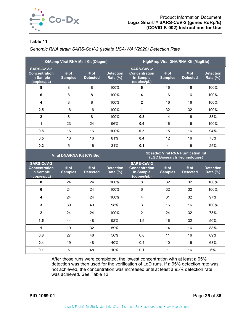

<span id="page-25-0"></span>*Genomic RNA strain SARS-CoV-2 (isolate USA-WA1/2020) Detection Rate*

| <b>QIAamp Viral RNA Mini Kit (Qiagen)</b>                             |                        |                         | HighPrep Viral DNA/RNA Kit (MagBio) |                                                                       |                        |                         |                                     |
|-----------------------------------------------------------------------|------------------------|-------------------------|-------------------------------------|-----------------------------------------------------------------------|------------------------|-------------------------|-------------------------------------|
| <b>SARS-CoV-2</b><br><b>Concentration</b><br>in Sample<br>(copies/µL) | # of<br><b>Samples</b> | # of<br><b>Detected</b> | <b>Detection</b><br>Rate $(\%)$     | <b>SARS-CoV-2</b><br><b>Concentration</b><br>in Sample<br>(copies/µL) | # of<br><b>Samples</b> | # of<br><b>Detected</b> | <b>Detection</b><br><b>Rate (%)</b> |
| 8                                                                     | 8                      | 8                       | 100%                                | 6                                                                     | 16                     | 16                      | 100%                                |
| 6                                                                     | 8                      | 8                       | 100%                                | 4                                                                     | 16                     | 16                      | 100%                                |
| 4                                                                     | 8                      | 8                       | 100%                                | $\mathbf{2}$                                                          | 16                     | 16                      | 100%                                |
| 2.5                                                                   | 16                     | 16                      | 100%                                | 1                                                                     | 32                     | 32                      | 100%                                |
| $\mathbf{2}$                                                          | 8                      | 8                       | 100%                                | 0.8                                                                   | 14                     | 16                      | 88%                                 |
| 1                                                                     | 23                     | 24                      | 96%                                 | 0.6                                                                   | 16                     | 16                      | 100%                                |
| 0.8                                                                   | 16                     | 16                      | 100%                                | 0.5                                                                   | 15                     | 16                      | 94%                                 |
| 0.5                                                                   | 13                     | 16                      | 81%                                 | 0.4                                                                   | 12                     | 16                      | 75%                                 |
| 0.2                                                                   | 5                      | 16                      | 31%                                 | 0.1                                                                   | 4                      | 16                      | 25%                                 |

| <b>Viral DNA/RNA Kit (CW Bio)</b>                                     |                        |                         | <b>Sbeadex Viral RNA Purification Kit</b><br>(LGC Biosearch Technologies) |                                                                       |                        |                         |                                     |
|-----------------------------------------------------------------------|------------------------|-------------------------|---------------------------------------------------------------------------|-----------------------------------------------------------------------|------------------------|-------------------------|-------------------------------------|
| <b>SARS-CoV-2</b><br><b>Concentration</b><br>in Sample<br>(copies/µL) | # of<br><b>Samples</b> | # of<br><b>Detected</b> | <b>Detection</b><br>Rate (%)                                              | <b>SARS-CoV-2</b><br><b>Concentration</b><br>in Sample<br>(copies/µL) | # of<br><b>Samples</b> | # of<br><b>Detected</b> | <b>Detection</b><br><b>Rate (%)</b> |
| 8                                                                     | 24                     | 24                      | 100%                                                                      | 8                                                                     | 32                     | 32                      | 100%                                |
| 6                                                                     | 24                     | 24                      | 100%                                                                      | 6                                                                     | 32                     | 32                      | 100%                                |
| 4                                                                     | 24                     | 24                      | 100%                                                                      | 4                                                                     | 31                     | 32                      | 97%                                 |
| $\mathbf{3}$                                                          | 39                     | 40                      | 98%                                                                       | 3                                                                     | 16                     | 16                      | 100%                                |
| $\mathbf{2}$                                                          | 24                     | 24                      | 100%                                                                      | 2                                                                     | 24                     | 32                      | 75%                                 |
| 1.5                                                                   | 44                     | 48                      | 92%                                                                       | 1.5                                                                   | 16                     | 32                      | 50%                                 |
| 1                                                                     | 19                     | 32                      | 59%                                                                       | 1                                                                     | 14                     | 16                      | 88%                                 |
| 0.8                                                                   | 27                     | 48                      | 56%                                                                       | 0.8                                                                   | 11                     | 16                      | 69%                                 |
| 0.4                                                                   | 19                     | 48                      | 40%                                                                       | 0.4                                                                   | 10                     | 16                      | 63%                                 |
| 0.1                                                                   | 5                      | 48                      | 10%                                                                       | 0.1                                                                   | 1                      | 16                      | 6%                                  |

After those runs were completed, the lowest concentration with at least a 95% detection was then used for the verification of LoD runs. If a 95% detection rate was not achieved, the concentration was increased until at least a 95% detection rate was achieved. See [Table 12.](#page-26-0)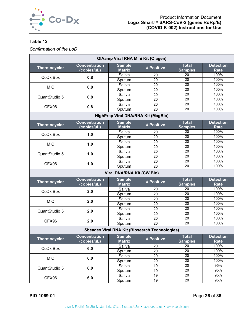

<span id="page-26-0"></span>*Confirmation of the LoD*

| <b>Concentration</b><br><b>Total</b><br><b>Detection</b><br><b>Sample</b><br><b>Thermocycler</b><br># Positive<br><b>Matrix</b><br>(copies/µL)<br><b>Samples</b><br><b>Rate</b><br>Saliva<br>100%<br>20<br>20<br>0.8<br>CoDx Box<br>$\overline{20}$<br>100%<br>Sputum<br>20<br>$\overline{20}$<br>100%<br>Saliva<br>20<br><b>MIC</b><br>0.8<br>$\overline{20}$<br>100%<br>Sputum<br>20<br>$\overline{20}$<br>100%<br>Saliva<br>20<br>QuantStudio 5<br>0.8<br>$\overline{20}$<br>100%<br>Sputum<br>20<br>$\overline{20}$<br>100%<br>Saliva<br>20<br>0.8<br>CFX96<br>$\overline{20}$<br>100%<br>20<br>Sputum<br>HighPrep Viral DNA/RNA Kit (MagBio)<br><b>Concentration</b><br><b>Total</b><br><b>Detection</b><br><b>Sample</b><br><b>Thermocycler</b><br># Positive<br>(copies/µL)<br><b>Matrix</b><br><b>Samples</b><br><b>Rate</b><br>100%<br>Saliva<br>20<br>20<br>1.0<br>CoDx Box<br>$\overline{20}$<br>100%<br>20<br>Sputum<br>100%<br>20<br>Saliva<br>20<br>1.0<br><b>MIC</b><br>100%<br>20<br>Sputum<br>20 |  |  |  |  |
|-------------------------------------------------------------------------------------------------------------------------------------------------------------------------------------------------------------------------------------------------------------------------------------------------------------------------------------------------------------------------------------------------------------------------------------------------------------------------------------------------------------------------------------------------------------------------------------------------------------------------------------------------------------------------------------------------------------------------------------------------------------------------------------------------------------------------------------------------------------------------------------------------------------------------------------------------------------------------------------------------------------------|--|--|--|--|
|                                                                                                                                                                                                                                                                                                                                                                                                                                                                                                                                                                                                                                                                                                                                                                                                                                                                                                                                                                                                                   |  |  |  |  |
|                                                                                                                                                                                                                                                                                                                                                                                                                                                                                                                                                                                                                                                                                                                                                                                                                                                                                                                                                                                                                   |  |  |  |  |
|                                                                                                                                                                                                                                                                                                                                                                                                                                                                                                                                                                                                                                                                                                                                                                                                                                                                                                                                                                                                                   |  |  |  |  |
|                                                                                                                                                                                                                                                                                                                                                                                                                                                                                                                                                                                                                                                                                                                                                                                                                                                                                                                                                                                                                   |  |  |  |  |
|                                                                                                                                                                                                                                                                                                                                                                                                                                                                                                                                                                                                                                                                                                                                                                                                                                                                                                                                                                                                                   |  |  |  |  |
|                                                                                                                                                                                                                                                                                                                                                                                                                                                                                                                                                                                                                                                                                                                                                                                                                                                                                                                                                                                                                   |  |  |  |  |
|                                                                                                                                                                                                                                                                                                                                                                                                                                                                                                                                                                                                                                                                                                                                                                                                                                                                                                                                                                                                                   |  |  |  |  |
|                                                                                                                                                                                                                                                                                                                                                                                                                                                                                                                                                                                                                                                                                                                                                                                                                                                                                                                                                                                                                   |  |  |  |  |
|                                                                                                                                                                                                                                                                                                                                                                                                                                                                                                                                                                                                                                                                                                                                                                                                                                                                                                                                                                                                                   |  |  |  |  |
|                                                                                                                                                                                                                                                                                                                                                                                                                                                                                                                                                                                                                                                                                                                                                                                                                                                                                                                                                                                                                   |  |  |  |  |
|                                                                                                                                                                                                                                                                                                                                                                                                                                                                                                                                                                                                                                                                                                                                                                                                                                                                                                                                                                                                                   |  |  |  |  |
|                                                                                                                                                                                                                                                                                                                                                                                                                                                                                                                                                                                                                                                                                                                                                                                                                                                                                                                                                                                                                   |  |  |  |  |
|                                                                                                                                                                                                                                                                                                                                                                                                                                                                                                                                                                                                                                                                                                                                                                                                                                                                                                                                                                                                                   |  |  |  |  |
|                                                                                                                                                                                                                                                                                                                                                                                                                                                                                                                                                                                                                                                                                                                                                                                                                                                                                                                                                                                                                   |  |  |  |  |
|                                                                                                                                                                                                                                                                                                                                                                                                                                                                                                                                                                                                                                                                                                                                                                                                                                                                                                                                                                                                                   |  |  |  |  |
|                                                                                                                                                                                                                                                                                                                                                                                                                                                                                                                                                                                                                                                                                                                                                                                                                                                                                                                                                                                                                   |  |  |  |  |
| 100%<br>20<br>Saliva<br>20<br>1.0<br>QuantStudio 5                                                                                                                                                                                                                                                                                                                                                                                                                                                                                                                                                                                                                                                                                                                                                                                                                                                                                                                                                                |  |  |  |  |
| 100%<br>20<br>Sputum<br>20                                                                                                                                                                                                                                                                                                                                                                                                                                                                                                                                                                                                                                                                                                                                                                                                                                                                                                                                                                                        |  |  |  |  |
| 100%<br>20<br>Saliva<br>20<br>1.0<br>CFX96                                                                                                                                                                                                                                                                                                                                                                                                                                                                                                                                                                                                                                                                                                                                                                                                                                                                                                                                                                        |  |  |  |  |
| 100%<br>20<br>Sputum<br>20                                                                                                                                                                                                                                                                                                                                                                                                                                                                                                                                                                                                                                                                                                                                                                                                                                                                                                                                                                                        |  |  |  |  |
| <b>Viral DNA/RNA Kit (CW Bio)</b>                                                                                                                                                                                                                                                                                                                                                                                                                                                                                                                                                                                                                                                                                                                                                                                                                                                                                                                                                                                 |  |  |  |  |
| <b>Total</b><br><b>Detection</b><br><b>Concentration</b><br><b>Sample</b><br># Positive<br><b>Thermocycler</b><br><b>Matrix</b><br><b>Samples</b><br>(copies/µL)<br><b>Rate</b>                                                                                                                                                                                                                                                                                                                                                                                                                                                                                                                                                                                                                                                                                                                                                                                                                                   |  |  |  |  |
| Saliva<br>100%<br>20<br>20                                                                                                                                                                                                                                                                                                                                                                                                                                                                                                                                                                                                                                                                                                                                                                                                                                                                                                                                                                                        |  |  |  |  |
| CoDx Box<br>2.0<br>$\overline{20}$<br>100%<br>Sputum<br>20                                                                                                                                                                                                                                                                                                                                                                                                                                                                                                                                                                                                                                                                                                                                                                                                                                                                                                                                                        |  |  |  |  |
| $\overline{20}$<br>100%<br>Saliva<br>20                                                                                                                                                                                                                                                                                                                                                                                                                                                                                                                                                                                                                                                                                                                                                                                                                                                                                                                                                                           |  |  |  |  |
| <b>MIC</b><br>2.0<br>$\overline{20}$<br>100%<br>20<br>Sputum                                                                                                                                                                                                                                                                                                                                                                                                                                                                                                                                                                                                                                                                                                                                                                                                                                                                                                                                                      |  |  |  |  |
| $\overline{20}$<br>100%<br>Saliva<br>20                                                                                                                                                                                                                                                                                                                                                                                                                                                                                                                                                                                                                                                                                                                                                                                                                                                                                                                                                                           |  |  |  |  |
| 2.0<br>QuantStudio 5<br>$\overline{20}$<br>100%<br>20<br>Sputum                                                                                                                                                                                                                                                                                                                                                                                                                                                                                                                                                                                                                                                                                                                                                                                                                                                                                                                                                   |  |  |  |  |
| $\overline{20}$<br>100%<br>Saliva<br>20                                                                                                                                                                                                                                                                                                                                                                                                                                                                                                                                                                                                                                                                                                                                                                                                                                                                                                                                                                           |  |  |  |  |
| 2.0<br>CFX96<br>$\overline{20}$<br>100%<br>Sputum<br>20                                                                                                                                                                                                                                                                                                                                                                                                                                                                                                                                                                                                                                                                                                                                                                                                                                                                                                                                                           |  |  |  |  |
| <b>Sbeadex Viral RNA Kit (Biosearch Technologies)</b>                                                                                                                                                                                                                                                                                                                                                                                                                                                                                                                                                                                                                                                                                                                                                                                                                                                                                                                                                             |  |  |  |  |
| <b>Sample</b><br><b>Total</b><br><b>Detection</b><br><b>Concentration</b>                                                                                                                                                                                                                                                                                                                                                                                                                                                                                                                                                                                                                                                                                                                                                                                                                                                                                                                                         |  |  |  |  |
| <b>Thermocycler</b><br># Positive<br><b>Samples</b><br>(copies/µL)<br><b>Matrix</b><br><b>Rate</b>                                                                                                                                                                                                                                                                                                                                                                                                                                                                                                                                                                                                                                                                                                                                                                                                                                                                                                                |  |  |  |  |
| 100%<br>20<br>Saliva<br>20                                                                                                                                                                                                                                                                                                                                                                                                                                                                                                                                                                                                                                                                                                                                                                                                                                                                                                                                                                                        |  |  |  |  |
| 6.0<br>CoDx Box<br>20<br>100%<br>Sputum<br>20                                                                                                                                                                                                                                                                                                                                                                                                                                                                                                                                                                                                                                                                                                                                                                                                                                                                                                                                                                     |  |  |  |  |
| 20<br>100%<br>Saliva<br>20                                                                                                                                                                                                                                                                                                                                                                                                                                                                                                                                                                                                                                                                                                                                                                                                                                                                                                                                                                                        |  |  |  |  |
| <b>MIC</b><br>6.0<br>20<br>100%<br>20<br>Sputum                                                                                                                                                                                                                                                                                                                                                                                                                                                                                                                                                                                                                                                                                                                                                                                                                                                                                                                                                                   |  |  |  |  |
| 20<br>95%<br>Saliva<br>19                                                                                                                                                                                                                                                                                                                                                                                                                                                                                                                                                                                                                                                                                                                                                                                                                                                                                                                                                                                         |  |  |  |  |
| 6.0<br>QuantStudio 5<br>20<br>95%<br>19<br>Sputum                                                                                                                                                                                                                                                                                                                                                                                                                                                                                                                                                                                                                                                                                                                                                                                                                                                                                                                                                                 |  |  |  |  |
| 20<br>95%<br>Saliva<br>19<br>6.0<br>CFX96                                                                                                                                                                                                                                                                                                                                                                                                                                                                                                                                                                                                                                                                                                                                                                                                                                                                                                                                                                         |  |  |  |  |
|                                                                                                                                                                                                                                                                                                                                                                                                                                                                                                                                                                                                                                                                                                                                                                                                                                                                                                                                                                                                                   |  |  |  |  |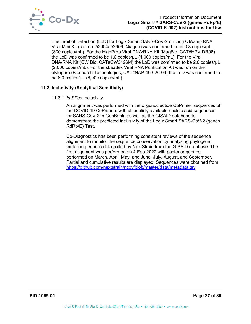

The Limit of Detection (LoD) for Logix Smart SARS-CoV-2 utilizing QIAamp RNA Viral Mini Kit (cat. no. 52904/ 52906, Qiagen) was confirmed to be 0.8 copies/µL (800 copies/mL). For the HighPrep Viral DNA/RNA Kit (MagBio, CAT#HPV-DR96) the LoD was confirmed to be 1.0 copies/µL (1,000 copies/mL). For the Viral DNA/RNA Kit (CW Bio, CAT#CW3126M) the LoD was confirmed to be 2.0 copies/µL (2,000 copies/mL). For the sbeadex Viral RNA Purification Kit was run on the oKtopure (Biosearch Technologies, CAT#NAP-40-026-04) the LoD was confirmed to be 6.0 copies/µL (6,000 copies/mL).

## <span id="page-27-0"></span>**11.3 Inclusivity (Analytical Sensitivity)**

## 11.3.1 *In Silico* Inclusivity

An alignment was performed with the oligonucleotide CoPrimer sequences of the COVID-19 CoPrimers with all publicly available nucleic acid sequences for SARS-CoV-2 in GenBank, as well as the GISAID database to demonstrate the predicted inclusivity of the Logix Smart SARS-CoV-2 (genes RdRp/E) Test.

Co-Diagnostics has been performing consistent reviews of the sequence alignment to monitor the sequence conservation by analyzing phylogenic mutation genomic data pulled by NextStrain from the GISAID database. The first alignment was performed on 4-Feb-2020 with posterior queries performed on March, April, May, and June, July, August, and September. Partial and cumulative results are displayed. Sequences were obtained from <https://github.com/nextstrain/ncov/blob/master/data/metadata.tsv>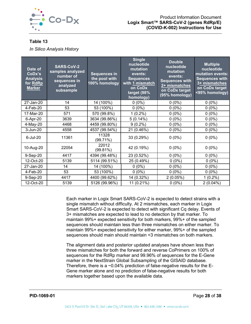

*In Silico Analysis History*

| Date of<br>CoDx's<br><b>Analysis</b><br>for RdRp<br><b>Marker</b> | <b>SARS-CoV-2</b><br>samples analyzed<br>number of<br>sequences in<br>analyzed<br>subsample | <b>Sequences in</b><br>the pool with<br>100% homology | <b>Single</b><br>nucleotide<br>mutation<br>events:<br><b>Sequences</b><br>with 1 mismatch<br>on CoDx<br>target (98%<br>homology) | <b>Double</b><br>nucleotide<br>mutation<br>events:<br><b>Sequences with</b><br>2+ mismatches<br>on CoDx target<br>(95% homology) | <b>Multiple</b><br>nucleotide<br>mutation events:<br><b>Sequences with</b><br>3+ mismatches<br>on CoDx target<br><95% homology) |
|-------------------------------------------------------------------|---------------------------------------------------------------------------------------------|-------------------------------------------------------|----------------------------------------------------------------------------------------------------------------------------------|----------------------------------------------------------------------------------------------------------------------------------|---------------------------------------------------------------------------------------------------------------------------------|
| 27-Jan-20                                                         | 14                                                                                          | 14 (100%)                                             | $0(0\%)$                                                                                                                         | $0(0\%)$                                                                                                                         | $0(0\%)$                                                                                                                        |
| 4-Feb-20                                                          | 53                                                                                          | 53 (100%)                                             | $0(0\%)$                                                                                                                         | $0(0\%)$                                                                                                                         | $0(0\%)$                                                                                                                        |
| 17-Mar-20                                                         | 571                                                                                         | 570 (99.8%)                                           | $1(0.2\%)$                                                                                                                       | $0(0\%)$                                                                                                                         | $0(0\%)$                                                                                                                        |
| 6-Apr-20                                                          | 3639                                                                                        | 3634 (99.86%)                                         | $5(0.14\%)$                                                                                                                      | $0(0\%)$                                                                                                                         | $0(0\%)$                                                                                                                        |
| 4-May-20                                                          | 4468                                                                                        | 4459 (99.80%)                                         | $9(0.2\%)$                                                                                                                       | $0(0\%)$                                                                                                                         | $0(0\%)$                                                                                                                        |
| 3-Jun-20                                                          | 4558                                                                                        | 4537 (99.54%)                                         | 21 (0.46%)                                                                                                                       | $0(0\%)$                                                                                                                         | $0(0\%)$                                                                                                                        |
| 6-Jul-20                                                          | 11361                                                                                       | 11328<br>(99.71%)                                     | 33 (0.29%)                                                                                                                       | $0(0\%)$                                                                                                                         | $0(0\%)$                                                                                                                        |
| 10-Aug-20                                                         | 22054                                                                                       | 22012<br>$(99.81\%)$                                  | 42 (0.19%)                                                                                                                       | $0(0\%)$                                                                                                                         | $0(0\%)$                                                                                                                        |
| 9-Sep-20                                                          | 4417                                                                                        | 4394 (99.48%)                                         | 23 (0.52%)                                                                                                                       | $0(0\%)$                                                                                                                         | $0(0\%)$                                                                                                                        |
| 12-Oct-20                                                         | 5139                                                                                        | 5114 (99.51%)                                         | 25 (0.49%)                                                                                                                       | $0(0\%)$                                                                                                                         | $0(0\%)$                                                                                                                        |
| 27-Jan-20                                                         | 14                                                                                          | 14 (100%)                                             | $0(0\%)$                                                                                                                         | $0(0\%)$                                                                                                                         | $0(0\%)$                                                                                                                        |
| 4-Feb-20                                                          | 53                                                                                          | 53 (100%)                                             | $0(0\%)$                                                                                                                         | $0(0\%)$                                                                                                                         | $0(0\%)$                                                                                                                        |
| 9-Sep-20                                                          | 4417                                                                                        | 4400 (99.62%)                                         | 14 (0.32%)                                                                                                                       | 2(0.05%)                                                                                                                         | $1(0.2\%)$                                                                                                                      |
| 12-Oct-20                                                         | 5139                                                                                        | 5126 (99.96%)                                         | 11 (0.21%)                                                                                                                       | $0(0\%)$                                                                                                                         | $2(0.04\%)$                                                                                                                     |

Each marker in Logix Smart SARS-CoV-2 is expected to detect strains with a single mismatch without difficulty. At 2 mismatches, each marker in Logix Smart SARS-CoV-2 is expected to detect with significant Cq delay. Events of 3+ mismatches are expected to lead to no detection by that marker. To maintain 99%+ expected sensitivity for both markers, 99%+ of the sampled sequences should maintain less than three mismatches on either marker. To maintain 99%+ expected sensitivity for either marker, 99%+ of the sampled sequences should main should maintain <3 mismatches on both markers.

The alignment data and posterior updated analyses have shown less than three mismatches for both the forward and reverse CoPrimers on 100% of sequences for the RdRp marker and 99.96% of sequences for the E-Gene marker in the NextStrain Global Subsampling of the GISAID database. Therefore, there is a ~0.04% prediction of false-negative results for the E-Gene marker alone and no prediction of false-negative results for both markers together based upon the available data.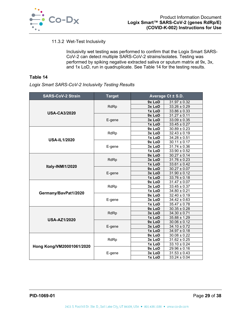

## 11.3.2 Wet-Test Inclusivity

Inclusivity wet testing was performed to confirm that the Logix Smart SARS-CoV-2 can detect multiple SARS-CoV-2 strains/isolates. Testing was performed by spiking negative extracted saliva or sputum matrix at 9x, 3x, and 1x LoD, run in quadruplicate. See [Table 14](#page-29-1) for the testing results.

## <span id="page-29-1"></span>**Table 14**

*Logix Smart SARS-CoV-2 Inclusivity Testing Results*

<span id="page-29-0"></span>

| <b>SARS-CoV-2 Strain</b>  | <b>Target</b> | Average Ct ± S.D.   |                             |
|---------------------------|---------------|---------------------|-----------------------------|
|                           |               | 9x LoD              | $31.97 \pm 0.32$            |
|                           | RdRp          | 3x LoD              | $33.26 \pm 0.29$            |
|                           |               | 1x LoD              | $33.86 \pm 0.33$            |
| <b>USA-CA3/2020</b>       |               | 9x LoD              | $31.27 \pm 0.11$            |
|                           | E-gene        | 3x LoD              | $33.09 \pm 0.35$            |
|                           |               | 1x LoD              | $33.45 \pm 0.27$            |
|                           |               | $\overline{9}x$ LoD | $30.89 \pm 0.23$            |
|                           | RdRp          | 3x LoD              | $32.43 \pm 0.19$            |
| <b>USA-IL1/2020</b>       |               | 1x LoD              | $\overline{34.28} \pm 0.51$ |
|                           |               | 9x LoD              | $30.11 \pm 0.17$            |
|                           | E-gene        | 3x LoD              | $31.74 \pm 0.36$            |
|                           |               | 1x LoD              | $33.90 \pm 0.52$            |
|                           |               | 9x LoD              | $30.27 \pm 0.14$            |
|                           | RdRp          | 3x LoD              | $31.76 \pm 0.23$            |
| Italy-INMI1/2020          |               | 1x LoD              | $33.61 \pm 0.42$            |
|                           | E-gene        | 9x LoD              | $30.27 \pm 0.07$            |
|                           |               | 3x LoD              | $31.90 \pm 0.12$            |
|                           |               | 1x LoD              | $33.76 \pm 0.18$            |
|                           | RdRp          | 9x LoD              | $31.47 \pm 0.07$            |
|                           |               | 3x LoD              | $33.45 \pm 0.37$            |
| Germany/BavPat1/2020      |               | 1x LoD              | $34.80 \pm 0.21$            |
|                           |               | 9x LoD              | $32.40 \pm 0.19$            |
|                           | E-gene        | 3x LoD              | $34.42 \pm 0.63$            |
|                           |               | 1x LoD              | $35.47 \pm 0.78$            |
|                           |               | 9x LoD              | $30.35 \pm 0.28$            |
|                           | RdRp          | 3x LoD              | $34.30 \pm 0.71$            |
| <b>USA-AZ1/2020</b>       |               | 1x LoD              | $35.88 \pm 1.29$            |
|                           |               | 9x LoD              | $30.06 \pm 0.12$            |
|                           | E-gene        | 3x LoD              | $34.10 \pm 0.72$            |
|                           |               | 1x LoD              | $34.97 \pm 0.18$            |
|                           |               | 9x LoD              | $30.08 \pm 0.22$            |
|                           | <b>RdRp</b>   | 3x LoD              | $31.62 \pm 0.25$            |
| Hong Kong/VM20001061/2020 |               | 1x LoD              | $33.10 \pm 0.24$            |
|                           |               | 9x LoD              | $29.96 \pm 0.16$            |
|                           | E-gene        | 3x LoD              | $31.53 \pm 0.43$            |
|                           |               | 1x LoD              | $33.24 \pm 0.04$            |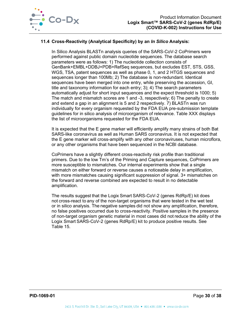

## **11.4 Cross-Reactivity (Analytical Specificity) by an** *In Silico* **Analysis:**

In Silico Analysis BLASTn analysis queries of the SARS-CoV-2 CoPrimers were performed against public domain nucleotide sequences. The database search parameters were as follows: 1) The nucleotide collection consists of GenBank+EMBL+DDBJ+PDB+RefSeq sequences, but excludes EST, STS, GSS, WGS, TSA, patent sequences as well as phase 0, 1, and 2 HTGS sequences and sequences longer than 100Mb; 2) The database is non-redundant. Identical sequences have been merged into one entry, while preserving the accession, GI, title and taxonomy information for each entry; 3); 4) The search parameters automatically adjust for short input sequences and the expect threshold is 1000; 5) The match and mismatch scores are 1 and -3, respectively; 6) The penalty to create and extend a gap in an alignment is 5 and 2 respectively. 7) BLASTn was run individually for every organism requested by the FDA EUA pre-submission template guidelines for in silico analysis of microorganism of relevance. Table XXX displays the list of microorganisms requested for the FDA EUA.

It is expected that the E gene marker will efficiently amplify many strains of both Bat SARS-like coronavirus as well as Human SARS coronavirus. It is not expected that the E gene marker will cross-amplify with any other coronaviruses, human microflora, or any other organisms that have been sequenced in the NCBI database.

CoPrimers have a slightly different cross-reactivity risk profile than traditional primers. Due to the low Tm's of the Priming and Capture sequences, CoPrimers are more susceptible to mismatches. Our internal experiments show that a single mismatch on either forward or reverse causes a noticeable delay in amplification, with more mismatches causing significant suppression of signal. 3+ mismatches on the forward and reverse combined are expected to result in no detectable amplification.

The results suggest that the Logix Smart SARS-CoV-2 (genes RdRp/E) kit does not cross-react to any of the non-target organisms that were tested in the wet test or in silico analysis. The negative samples did not show any amplification, therefore, no false positives occurred due to cross-reactivity. Positive samples in the presence of non-target organism genetic material in most cases did not reduce the ability of the Logix Smart SARS-CoV-2 (genes RdRp/E) kit to produce positive results. See [Table 15.](#page-31-1)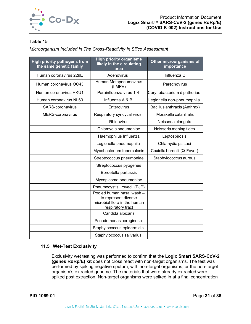

### <span id="page-31-1"></span>*Microorganism Included in The Cross-Reactivity In Silico Assessment*

| <b>High priority pathogens from</b><br>the same genetic family | <b>High priority organisms</b><br>likely in the circulating<br>area                                    | Other microorganisms of<br>importance |
|----------------------------------------------------------------|--------------------------------------------------------------------------------------------------------|---------------------------------------|
| Human coronavirus 229E                                         | Adenovirus                                                                                             | Influenza C                           |
| Human coronavirus OC43                                         | Human Metapneumovirus<br>(hMPV)                                                                        | Parechovirus                          |
| Human coronavirus HKU1                                         | Parainfluenza virus 1-4                                                                                | Corynebacterium diphtheriae           |
| Human coronavirus NL63                                         | Influenza A & B                                                                                        | Legionella non-pneumophila            |
| SARS-coronavirus                                               | Enterovirus                                                                                            | Bacillus anthracis (Anthrax)          |
| MERS-coronavirus                                               | Respiratory syncytial virus                                                                            | Moraxella catarrhalis                 |
|                                                                | Rhinovirus                                                                                             | Neisseria elongata                    |
|                                                                | Chlamydia pneumoniae                                                                                   | Neisseria meningitides                |
|                                                                | Haemophilus Influenza                                                                                  | Leptospirosis                         |
|                                                                | Legionella pneumophila                                                                                 | Chlamydia psittaci                    |
|                                                                | Mycobacterium tuberculosis                                                                             | Coxiella burnetii (Q-Fever)           |
|                                                                | Streptococcus pneumoniae                                                                               | Staphylococcus aureus                 |
|                                                                | Streptococcus pyogenes                                                                                 |                                       |
|                                                                | Bordetella pertussis                                                                                   |                                       |
|                                                                | Mycoplasma pneumoniae                                                                                  |                                       |
|                                                                | Pneumocystis jirovecii (PJP)                                                                           |                                       |
|                                                                | Pooled human nasal wash -<br>to represent diverse<br>microbial flora in the human<br>respiratory tract |                                       |
|                                                                | Candida albicans                                                                                       |                                       |
|                                                                | Pseudomonas aeruginosa                                                                                 |                                       |
|                                                                | Staphylococcus epidermidis                                                                             |                                       |
|                                                                | Staphylococcus salivarius                                                                              |                                       |

## **11.5 Wet-Test Exclusivity**

<span id="page-31-0"></span>Exclusivity wet testing was performed to confirm that the **Logix Smart SARS-CoV-2 (genes RdRp/E) kit** does not cross react with non-target organisms. The test was performed by spiking negative sputum, with non-target organisms, or the non-target organism's extracted genome. The materials that were already extracted were spiked post extraction. Non-target organisms were spiked in at a final concentration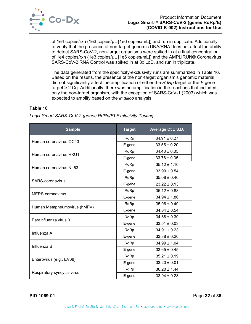

of 1e4 copies/rxn (1e3 copies/µL [1e6 copies/mL]) and run in duplicate. Additionally, to verify that the presence of non-target genomic DNA/RNA does not affect the ability to detect SARS-CoV-2, non-target organisms were spiked in at a final concentration of 1e4 copies/rxn (1e3 copies/µL [1e6 copies/mL]) and the AMPLIRUN® Coronavirus SARS-CoV-2 RNA Control was spiked in at 3x LoD, and run in triplicate.

The data generated from the specificity-exclusivity runs are summarized in [Table 16.](#page-32-0) Based on the results, the presence of the non-target organism's genomic material did not significantly affect the amplification of either the *RdRp* target or the *E* gene target  $\geq 2$  Cq. Additionally, there was no amplification in the reactions that included only the non-target organism, with the exception of SARS-CoV-1 (2003) which was expected to amplify based on the *in silico* analysis.

#### <span id="page-32-0"></span>**Table 16**

| <b>Sample</b>                | <b>Target</b> | Average Ct ± S.D. |
|------------------------------|---------------|-------------------|
| Human coronavirus OC43       | RdRp          | $34.91 \pm 0.27$  |
|                              | E-gene        | $33.55 \pm 0.20$  |
|                              | RdRp          | $34.48 \pm 0.05$  |
| Human coronavirus HKU1       | E-gene        | $33.76 \pm 0.35$  |
| Human coronavirus NL63       | RdRp          | $35.12 \pm 1.10$  |
|                              | E-gene        | $33.99 \pm 0.54$  |
| SARS-coronavirus             | RdRp          | $35.08 \pm 0.46$  |
|                              | E-gene        | $23.22 \pm 0.13$  |
|                              | RdRp          | $35.12 \pm 0.88$  |
| <b>MERS-coronavirus</b>      | E-gene        | $34.94 \pm 1.86$  |
|                              | <b>RdRp</b>   | $35.06 \pm 0.40$  |
| Human Metapneumovirus (hMPV) | E-gene        | $34.04 \pm 0.54$  |
| Parainfluenza virus 3        | RdRp          | $34.88 \pm 0.30$  |
|                              | E-gene        | $33.51 \pm 0.03$  |
| Influenza A                  | RdRp          | $34.91 \pm 0.23$  |
|                              | E-gene        | $33.38 \pm 0.20$  |
|                              | RdRp          | $34.99 \pm 1.04$  |
| Influenza B                  | E-gene        | $33.65 \pm 0.45$  |
|                              | RdRp          | $35.21 \pm 0.19$  |
| Enterovirus (e.g., EV68)     | E-gene        | $33.20 \pm 0.01$  |
|                              | RdRp          | $36.20 \pm 1.44$  |
| Respiratory syncytial virus  | E-gene        | $33.94 \pm 0.28$  |

*Logix Smart SARS-CoV-2 (genes RdRp/E) Exclusivity Testing*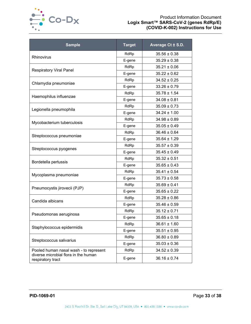

| <b>Sample</b>                                             | <b>Target</b> | Average Ct ± S.D. |
|-----------------------------------------------------------|---------------|-------------------|
| Rhinovirus                                                | RdRp          | $35.56 \pm 0.38$  |
|                                                           | E-gene        | $35.29 \pm 0.38$  |
| <b>Respiratory Viral Panel</b>                            | RdRp          | $35.21 \pm 0.06$  |
|                                                           | E-gene        | $35.22 \pm 0.62$  |
| Chlamydia pneumoniae                                      | RdRp          | $34.52 \pm 0.25$  |
|                                                           | E-gene        | $33.26 \pm 0.79$  |
| Haemophilus influenzae                                    | RdRp          | $35.78 \pm 1.54$  |
|                                                           | E-gene        | $34.08 \pm 0.81$  |
| Legionella pneumophila                                    | RdRp          | $35.09 \pm 0.73$  |
|                                                           | E-gene        | $34.24 \pm 1.00$  |
|                                                           | RdRp          | $34.98 \pm 0.89$  |
| Mycobacterium tuberculosis                                | E-gene        | $35.05 \pm 0.49$  |
|                                                           | RdRp          | $36.46 \pm 0.64$  |
| Streptococcus pneumoniae                                  | E-gene        | $35.64 \pm 1.29$  |
|                                                           | RdRp          | $35.57 \pm 0.39$  |
| Streptococcus pyogenes                                    | E-gene        | $35.45 \pm 0.49$  |
|                                                           | RdRp          | $35.32 \pm 0.51$  |
| Bordetella pertussis                                      | E-gene        | $35.65 \pm 0.43$  |
| Mycoplasma pneumoniae                                     | RdRp          | $35.41 \pm 0.54$  |
|                                                           | E-gene        | $35.73 \pm 0.58$  |
| Pneumocystis jirovecii (PJP)                              | RdRp          | $35.69 \pm 0.41$  |
|                                                           | E-gene        | $35.65 \pm 0.22$  |
| Candida albicans                                          | RdRp          | $35.28 \pm 0.86$  |
|                                                           | E-gene        | $35.46 \pm 0.59$  |
|                                                           | RdRp          | $35.12 \pm 0.71$  |
| Pseudomonas aeruginosa                                    | E-gene        | $35.65 \pm 0.18$  |
| Staphylococcus epidermidis                                | RdRp          | $36.61 \pm 1.60$  |
|                                                           | E-gene        | $35.51 \pm 0.95$  |
| Streptococcus salivarius                                  | RdRp          | $36.80 \pm 0.89$  |
|                                                           | E-gene        | $35.03 \pm 0.36$  |
| Pooled human nasal wash - to represent                    | RdRp          | $34.52 \pm 0.39$  |
| diverse microbial flora in the human<br>respiratory tract | E-gene        | $36.16 \pm 0.74$  |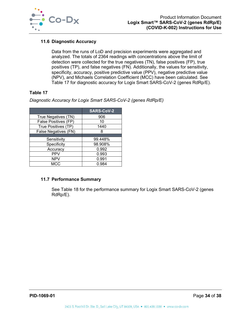

## **11.6 Diagnostic Accuracy**

Data from the runs of LoD and precision experiments were aggregated and analyzed. The totals of 2364 readings with concentrations above the limit of detection were collected for the true negatives (TN), false positives (FP), true positives (TP), and false negatives (FN). Additionally, the values for sensitivity, specificity, accuracy, positive predictive value (PPV), negative predictive value (NPV), and Michaels Correlation Coefficient (MCC) have been calculated. See [Table 17](#page-34-0) for diagnostic accuracy for Logix Smart SARS-CoV-2 (genes RdRp/E).

## <span id="page-34-0"></span>**Table 17**

*Diagnostic Accuracy for Logix Smart SARS-CoV-2 (genes RdRp/E)*

|                      | <b>SARS-CoV-2</b> |
|----------------------|-------------------|
| True Negatives (TN)  | 906               |
| False Positives (FP) | 10                |
| True Positives (TP)  | 1440              |
| False Negatives (FN) | 8                 |
|                      |                   |
| Sensitivity          | 99.448%           |
| Specificity          | 98.908%           |
| Accuracy             | 0.992             |
| <b>PPV</b>           | 0.993             |
| <b>NPV</b>           | 0.991             |
| MCC                  | 0.984             |

## **11.7 Performance Summary**

See [Table 18](#page-35-1) for the performance summary for Logix Smart SARS-CoV-2 (genes RdRp/E).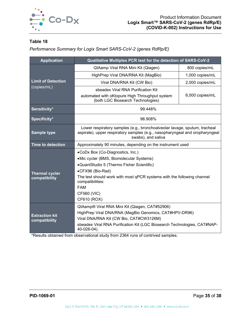

<span id="page-35-1"></span>*Performance Summary for Logix Smart SARS-CoV-2 (genes RdRp/E)*

| <b>Application</b>                       | Qualitative Multiplex PCR test for the detection of SARS-CoV-2                                                                                                                  |                 |  |  |
|------------------------------------------|---------------------------------------------------------------------------------------------------------------------------------------------------------------------------------|-----------------|--|--|
| <b>Limit of Detection</b><br>(copies/mL) | QIAamp Viral RNA Mini Kit (Qiagen)                                                                                                                                              | 800 copies/mL   |  |  |
|                                          | HighPrep Viral DNA/RNA Kit (MagBio)                                                                                                                                             | 1,000 copies/mL |  |  |
|                                          | Viral DNA/RNA Kit (CW Bio)                                                                                                                                                      | 2,000 copies/mL |  |  |
|                                          | sbeadex Viral RNA Purification Kit                                                                                                                                              |                 |  |  |
|                                          | automated with oKtopure High Throughput system<br>(both LGC Biosearch Technologies)                                                                                             | 6,000 copies/mL |  |  |
| Sensitivity*                             | 99.448%                                                                                                                                                                         |                 |  |  |
| Specificity*                             | 98.908%                                                                                                                                                                         |                 |  |  |
| <b>Sample type</b>                       | Lower respiratory samples (e.g., bronchoalveolar lavage, sputum, tracheal<br>aspirate), upper respiratory samples (e.g., nasopharyngeal and oropharyngeal<br>swabs), and saliva |                 |  |  |
| <b>Time to detection</b>                 | Approximately 90 minutes, depending on the instrument used                                                                                                                      |                 |  |  |
|                                          | •CoDx Box (Co-Diagnostics, Inc.)                                                                                                                                                |                 |  |  |
|                                          | •Mic cycler (BMS, Biomolecular Systems)                                                                                                                                         |                 |  |  |
|                                          | •QuantStudio 5 (Thermo Fisher Scientific)                                                                                                                                       |                 |  |  |
| <b>Thermal cycler</b>                    | •CFX96 (Bio-Rad)                                                                                                                                                                |                 |  |  |
| compatibility                            | The test should work with most qPCR systems with the following channel<br>compatibilities:                                                                                      |                 |  |  |
|                                          | <b>FAM</b>                                                                                                                                                                      |                 |  |  |
|                                          | CF560 (VIC)                                                                                                                                                                     |                 |  |  |
|                                          | CF610 (ROX)                                                                                                                                                                     |                 |  |  |
|                                          | QIAamp® Viral RNA Mini Kit (Qiagen, CAT#52906)                                                                                                                                  |                 |  |  |
| <b>Extraction kit</b>                    | HighPrep Viral DNA/RNA (MagBio Genomics, CAT#HPV-DR96)                                                                                                                          |                 |  |  |
| compatibility                            | Viral DNA/RNA Kit (CW Bio, CAT#CW3126M)                                                                                                                                         |                 |  |  |
|                                          | sbeadex Viral RNA Purification Kit (LGC Biosearch Technologies, CAT#NAP-<br>40-026-04).                                                                                         |                 |  |  |

<span id="page-35-0"></span>\*Results obtained from observational study from 2364 runs of contrived samples.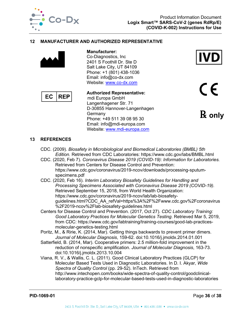

## **12 MANUFACTURER AND AUTHORIZED REPRESENTATIVE**



**Manufacturer:** Co-Diagnostics, Inc 2401 S Foothill Dr. Ste D Salt Lake City, UT 84109 Phone: +1 (801) 438-1036 Email: info@co-dx.com Website: [www.co-dx.com](http://www.co-dx.com/)



**Authorized Representative:** mdi Europa GmbH Langenhagener Str. 71 D-30855 Hannover-Langenhagen **Germany** Phone: +49 511 39 08 95 30 Email: info@mdi-europa.com Website: [www.mdi-europa.com](http://www.mdi-europa.com/)



 $C \in$ 

℞ **only**

#### <span id="page-36-0"></span>**13 REFERENCES**

- CDC. (2009). *Biosafety in Microbiological and Biomedical Laboratories (BMBL) 5th Edition.* Retrieved from CDC Laboratories: https://www.cdc.gov/labs/BMBL.html
- CDC. (2020, Feb 7). *Coronavirus Disease 2019 (COVID-19): Information for Laboratories.* Retrieved from Centers for Disease Control and Prevention: https://www.cdc.gov/coronavirus/2019-ncov/downloads/processing-sputumspecimens.pdf
- CDC. (2020, Feb 16). *Interim Laboratory Biosafety Guidelines for Handling and Processing Specimens Associated with Coronavirus Disease 2019 (COVID-19).* Retrieved September 15, 2018, from World Health Organization: https://www.cdc.gov/coronavirus/2019-ncov/lab/lab-biosafetyguidelines.html?CDC\_AA\_refVal=https%3A%2F%2Fwww.cdc.gov%2Fcoronavirus %2F2019-ncov%2Flab-biosafety-guidelines.html
- Centers for Disease Control and Prevention. (2017, Oct 27). *CDC Laboratory Training: Good Laboratory Practices for Molecular Genetics Testing*. Retrieved Mar 5, 2019, from CDC: https://www.cdc.gov/labtraining/training-courses/good-lab-practicesmolecular-genetics-testing.html
- Poritz, M., & Ririe, K. (2014, Mar). Getting things backwards to prevent primer dimers. *Journal of Molecular Diagnosis*, 159-62. doi:10.1016/j.jmoldx.2014.01.001
- Satterfield, B. (2014, Mar). Cooperative primers: 2.5 million-fold improvement in the reduction of nonspecific amplification. *Journal of Molecular Diagnosis*, 163-73. doi:10.1016/j.jmoldx.2013.10.004
- Viana, R. V., & Wallis, C. L. (2011). Good Clinical Laboratory Practices (GLCP) for Molecular Based Tests Used in Diagnostic Laboratories. In D. I. Akyar, *Wide Spectra of Quality Control* (pp. 29-52). InTech. Retrieved from http://www.intechopen.com/books/wide-spectra-of-quality-control/goodclinicallaboratory-practice-gclp-for-molecular-based-tests-used-in-diagnostic-laboratories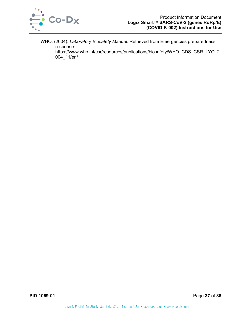

<span id="page-37-0"></span>WHO. (2004). *Laboratory Biosafety Manual.* Retrieved from Emergencies preparedness, response:

https://www.who.int/csr/resources/publications/biosafety/WHO\_CDS\_CSR\_LYO\_2 004\_11/en/